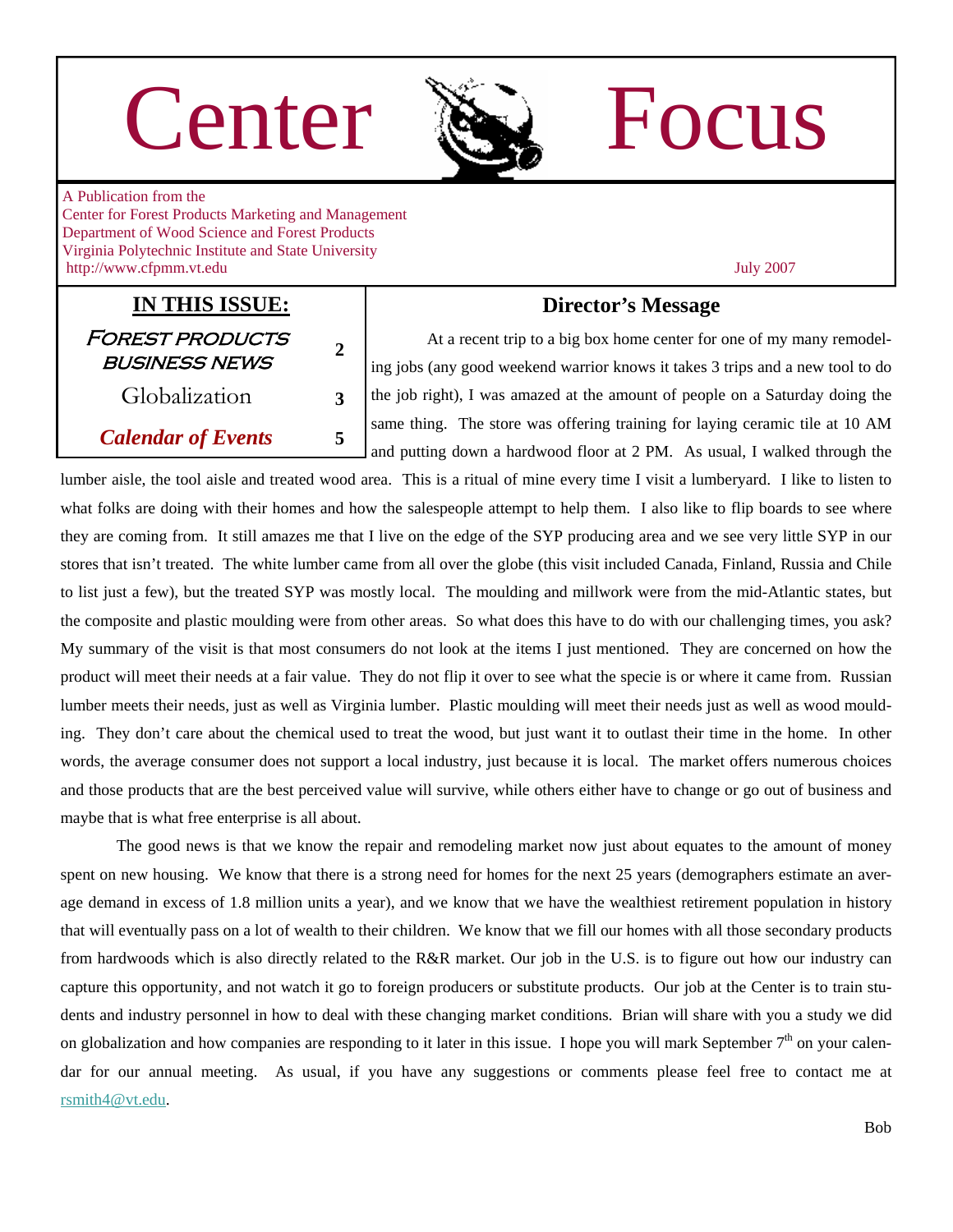# Center Re Focus



A Publication from the Center for Forest Products Marketing and Management Department of Wood Science and Forest Products Virginia Polytechnic Institute and State University http://www.cfpmm.vt.edu July 2007

### **IN THIS ISSUE:** Forest products business news **<sup>2</sup>** Globalization **3**

## *Calendar of Events* **5**

#### **Director's Message**

 At a recent trip to a big box home center for one of my many remodeling jobs (any good weekend warrior knows it takes 3 trips and a new tool to do the job right), I was amazed at the amount of people on a Saturday doing the same thing. The store was offering training for laying ceramic tile at 10 AM and putting down a hardwood floor at 2 PM. As usual, I walked through the

lumber aisle, the tool aisle and treated wood area. This is a ritual of mine every time I visit a lumberyard. I like to listen to what folks are doing with their homes and how the salespeople attempt to help them. I also like to flip boards to see where they are coming from. It still amazes me that I live on the edge of the SYP producing area and we see very little SYP in our stores that isn't treated. The white lumber came from all over the globe (this visit included Canada, Finland, Russia and Chile to list just a few), but the treated SYP was mostly local. The moulding and millwork were from the mid-Atlantic states, but the composite and plastic moulding were from other areas. So what does this have to do with our challenging times, you ask? My summary of the visit is that most consumers do not look at the items I just mentioned. They are concerned on how the product will meet their needs at a fair value. They do not flip it over to see what the specie is or where it came from. Russian lumber meets their needs, just as well as Virginia lumber. Plastic moulding will meet their needs just as well as wood moulding. They don't care about the chemical used to treat the wood, but just want it to outlast their time in the home. In other words, the average consumer does not support a local industry, just because it is local. The market offers numerous choices and those products that are the best perceived value will survive, while others either have to change or go out of business and maybe that is what free enterprise is all about.

 The good news is that we know the repair and remodeling market now just about equates to the amount of money spent on new housing. We know that there is a strong need for homes for the next 25 years (demographers estimate an average demand in excess of 1.8 million units a year), and we know that we have the wealthiest retirement population in history that will eventually pass on a lot of wealth to their children. We know that we fill our homes with all those secondary products from hardwoods which is also directly related to the R&R market. Our job in the U.S. is to figure out how our industry can capture this opportunity, and not watch it go to foreign producers or substitute products. Our job at the Center is to train students and industry personnel in how to deal with these changing market conditions. Brian will share with you a study we did on globalization and how companies are responding to it later in this issue. I hope you will mark September  $7<sup>th</sup>$  on your calendar for our annual meeting. As usual, if you have any suggestions or comments please feel free to contact me at [rsmith4@vt.edu](mailto:rsmith4@vt.edu).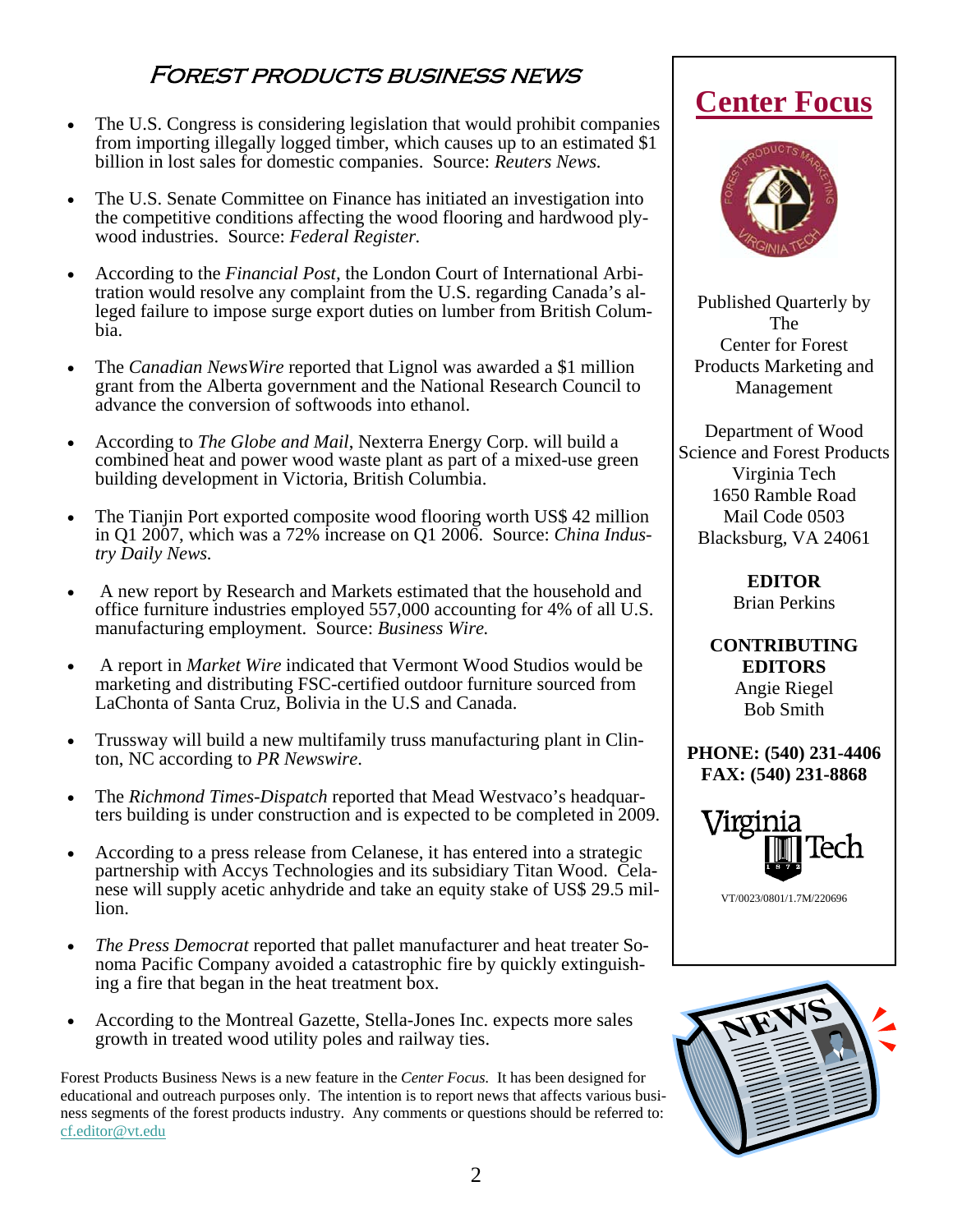### Forest products business news

- The U.S. Congress is considering legislation that would prohibit companies from importing illegally logged timber, which causes up to an estimated \$1 billion in lost sales for domestic companies. Source: *Reuters News.*
- The U.S. Senate Committee on Finance has initiated an investigation into the competitive conditions affecting the wood flooring and hardwood plywood industries. Source: *Federal Register.*
- According to the *Financial Post,* the London Court of International Arbitration would resolve any complaint from the U.S. regarding Canada's alleged failure to impose surge export duties on lumber from British Columbia.
- The *Canadian NewsWire* reported that Lignol was awarded a \$1 million grant from the Alberta government and the National Research Council to advance the conversion of softwoods into ethanol.
- According to *The Globe and Mail*, Nexterra Energy Corp. will build a combined heat and power wood waste plant as part of a mixed-use green building development in Victoria, British Columbia.
- The Tianjin Port exported composite wood flooring worth US\$ 42 million in Q1 2007, which was a 72% increase on Q1 2006. Source: *China Industry Daily News.*
- A new report by Research and Markets estimated that the household and office furniture industries employed 557,000 accounting for 4% of all U.S. manufacturing employment. Source: *Business Wire.*
- A report in *Market Wire* indicated that Vermont Wood Studios would be marketing and distributing FSC-certified outdoor furniture sourced from LaChonta of Santa Cruz, Bolivia in the U.S and Canada.
- Trussway will build a new multifamily truss manufacturing plant in Clinton, NC according to *PR Newswire*.
- The *Richmond Times-Dispatch* reported that Mead Westvaco's headquarters building is under construction and is expected to be completed in 2009.
- According to a press release from Celanese, it has entered into a strategic partnership with Accys Technologies and its subsidiary Titan Wood. Celanese will supply acetic anhydride and take an equity stake of US\$ 29.5 million.
- *The Press Democrat* reported that pallet manufacturer and heat treater Sonoma Pacific Company avoided a catastrophic fire by quickly extinguishing a fire that began in the heat treatment box.
- According to the Montreal Gazette, Stella-Jones Inc. expects more sales growth in treated wood utility poles and railway ties.

Forest Products Business News is a new feature in the *Center Focus.* It has been designed for educational and outreach purposes only. The intention is to report news that affects various business segments of the forest products industry. Any comments or questions should be referred to: [cf.editor@vt.edu](mailto:cf.editor@vt.edu?subject=Center%20Focus%20Comment)

# **Center Focus**



Published Quarterly by The Center for Forest Products Marketing and Management

Department of Wood Science and Forest Products Virginia Tech 1650 Ramble Road Mail Code 0503 Blacksburg, VA 24061

> **EDITOR**  Brian Perkins

**CONTRIBUTING EDITORS**  Angie Riegel Bob Smith

**PHONE: (540) 231-4406 FAX: (540) 231-8868** 



VT/0023/0801/1.7M/220696

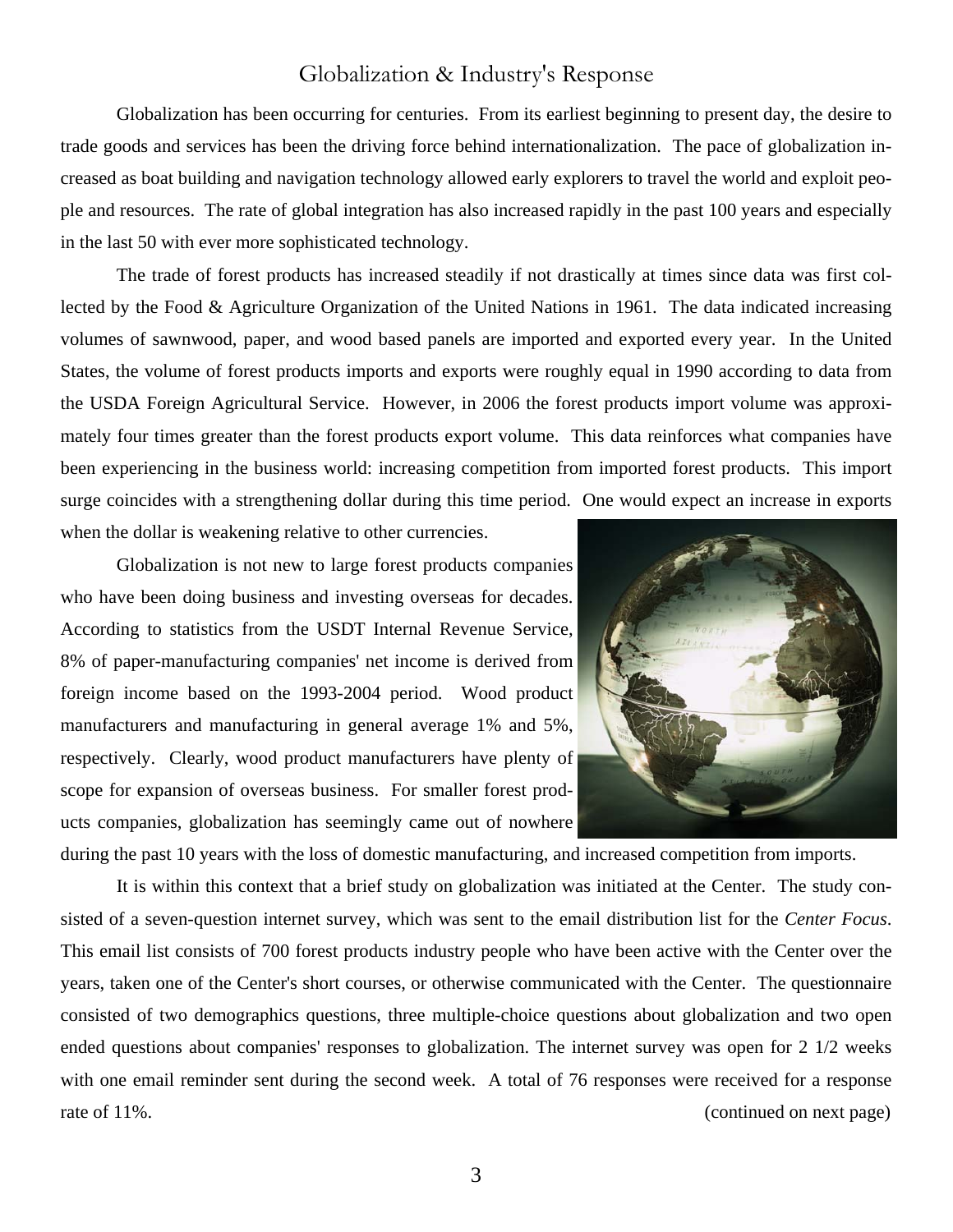#### Globalization & Industry's Response

Globalization has been occurring for centuries. From its earliest beginning to present day, the desire to trade goods and services has been the driving force behind internationalization. The pace of globalization increased as boat building and navigation technology allowed early explorers to travel the world and exploit people and resources. The rate of global integration has also increased rapidly in the past 100 years and especially in the last 50 with ever more sophisticated technology.

The trade of forest products has increased steadily if not drastically at times since data was first collected by the Food & Agriculture Organization of the United Nations in 1961. The data indicated increasing volumes of sawnwood, paper, and wood based panels are imported and exported every year. In the United States, the volume of forest products imports and exports were roughly equal in 1990 according to data from the USDA Foreign Agricultural Service. However, in 2006 the forest products import volume was approximately four times greater than the forest products export volume. This data reinforces what companies have been experiencing in the business world: increasing competition from imported forest products. This import surge coincides with a strengthening dollar during this time period. One would expect an increase in exports when the dollar is weakening relative to other currencies.

Globalization is not new to large forest products companies who have been doing business and investing overseas for decades. According to statistics from the USDT Internal Revenue Service, 8% of paper-manufacturing companies' net income is derived from foreign income based on the 1993-2004 period. Wood product manufacturers and manufacturing in general average 1% and 5%, respectively. Clearly, wood product manufacturers have plenty of scope for expansion of overseas business. For smaller forest products companies, globalization has seemingly came out of nowhere



during the past 10 years with the loss of domestic manufacturing, and increased competition from imports.

It is within this context that a brief study on globalization was initiated at the Center. The study consisted of a seven-question internet survey, which was sent to the email distribution list for the *Center Focus*. This email list consists of 700 forest products industry people who have been active with the Center over the years, taken one of the Center's short courses, or otherwise communicated with the Center. The questionnaire consisted of two demographics questions, three multiple-choice questions about globalization and two open ended questions about companies' responses to globalization. The internet survey was open for 2 1/2 weeks with one email reminder sent during the second week. A total of 76 responses were received for a response rate of 11%. (continued on next page)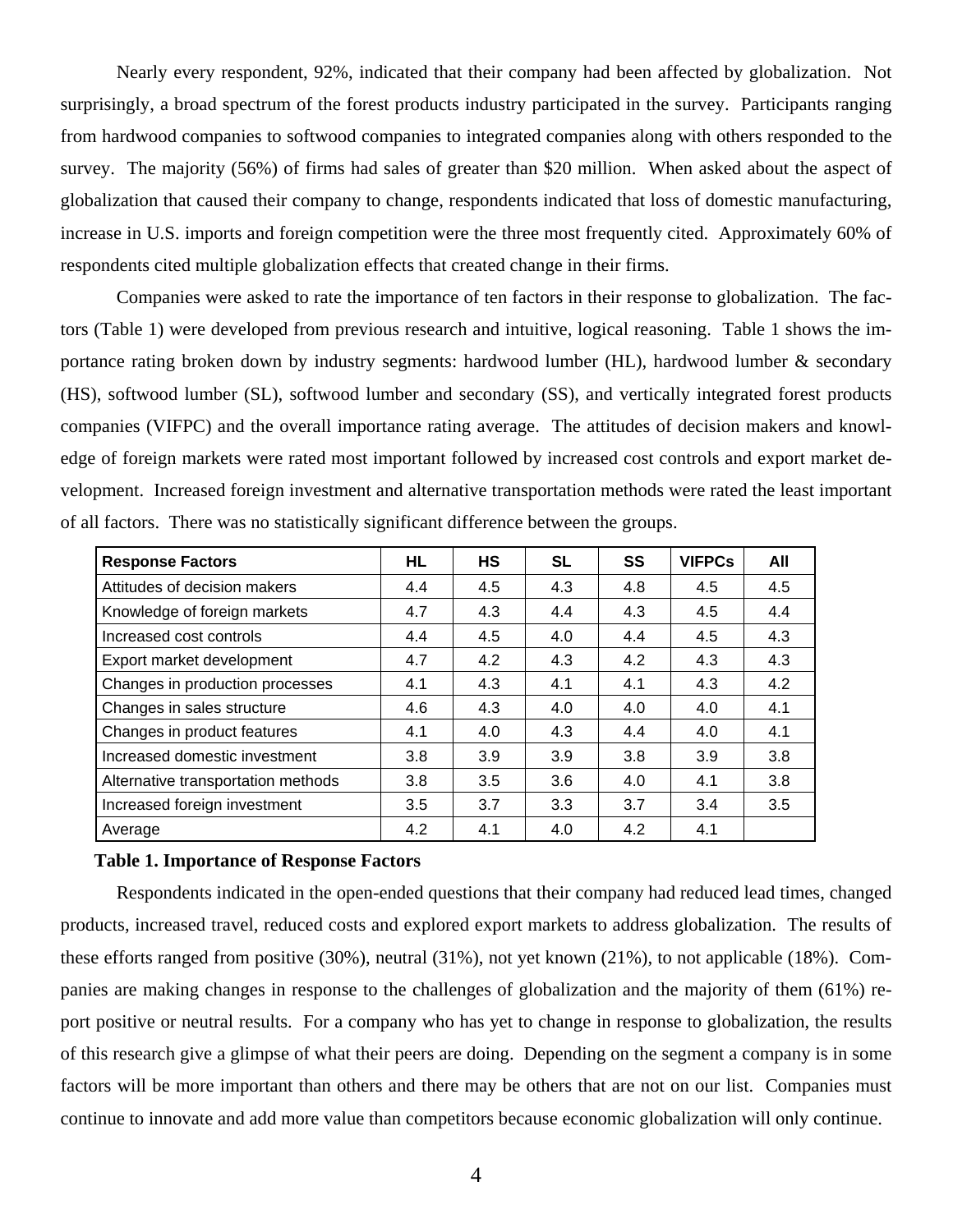Nearly every respondent, 92%, indicated that their company had been affected by globalization. Not surprisingly, a broad spectrum of the forest products industry participated in the survey. Participants ranging from hardwood companies to softwood companies to integrated companies along with others responded to the survey. The majority (56%) of firms had sales of greater than \$20 million. When asked about the aspect of globalization that caused their company to change, respondents indicated that loss of domestic manufacturing, increase in U.S. imports and foreign competition were the three most frequently cited. Approximately 60% of respondents cited multiple globalization effects that created change in their firms.

 Companies were asked to rate the importance of ten factors in their response to globalization. The factors (Table 1) were developed from previous research and intuitive, logical reasoning. Table 1 shows the importance rating broken down by industry segments: hardwood lumber (HL), hardwood lumber & secondary (HS), softwood lumber (SL), softwood lumber and secondary (SS), and vertically integrated forest products companies (VIFPC) and the overall importance rating average. The attitudes of decision makers and knowledge of foreign markets were rated most important followed by increased cost controls and export market development. Increased foreign investment and alternative transportation methods were rated the least important of all factors. There was no statistically significant difference between the groups.

| <b>Response Factors</b>            | HL. | HS  | SL  | SS  | <b>VIFPCs</b> | All |
|------------------------------------|-----|-----|-----|-----|---------------|-----|
| Attitudes of decision makers       | 4.4 | 4.5 | 4.3 | 4.8 | 4.5           | 4.5 |
| Knowledge of foreign markets       | 4.7 | 4.3 | 4.4 | 4.3 | 4.5           | 4.4 |
| Increased cost controls            | 4.4 | 4.5 | 4.0 | 4.4 | 4.5           | 4.3 |
| Export market development          | 4.7 | 4.2 | 4.3 | 4.2 | 4.3           | 4.3 |
| Changes in production processes    | 4.1 | 4.3 | 4.1 | 4.1 | 4.3           | 4.2 |
| Changes in sales structure         | 4.6 | 4.3 | 4.0 | 4.0 | 4.0           | 4.1 |
| Changes in product features        | 4.1 | 4.0 | 4.3 | 4.4 | 4.0           | 4.1 |
| Increased domestic investment      | 3.8 | 3.9 | 3.9 | 3.8 | 3.9           | 3.8 |
| Alternative transportation methods | 3.8 | 3.5 | 3.6 | 4.0 | 4.1           | 3.8 |
| Increased foreign investment       | 3.5 | 3.7 | 3.3 | 3.7 | 3.4           | 3.5 |
| Average                            | 4.2 | 4.1 | 4.0 | 4.2 | 4.1           |     |

#### **Table 1. Importance of Response Factors**

Respondents indicated in the open-ended questions that their company had reduced lead times, changed products, increased travel, reduced costs and explored export markets to address globalization. The results of these efforts ranged from positive (30%), neutral (31%), not yet known (21%), to not applicable (18%). Companies are making changes in response to the challenges of globalization and the majority of them (61%) report positive or neutral results. For a company who has yet to change in response to globalization, the results of this research give a glimpse of what their peers are doing. Depending on the segment a company is in some factors will be more important than others and there may be others that are not on our list. Companies must continue to innovate and add more value than competitors because economic globalization will only continue.